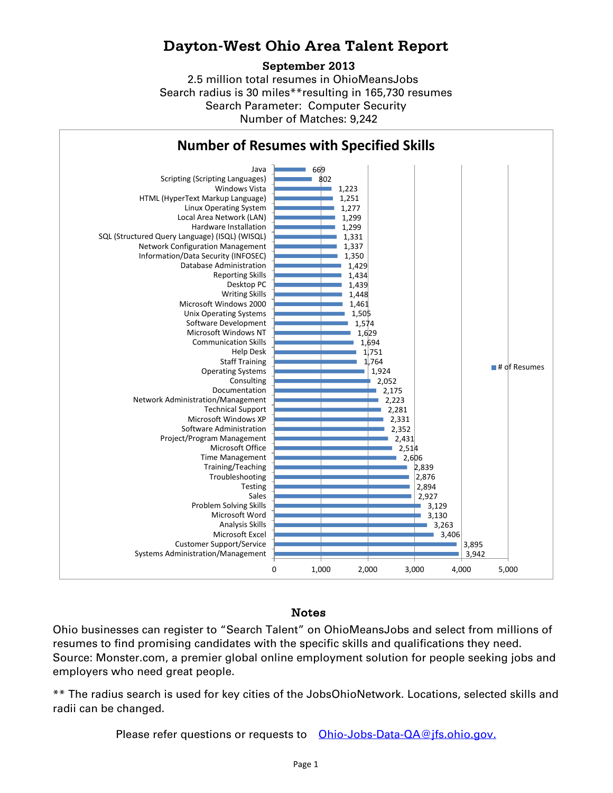## **Dayton-West Ohio Area Talent Report**

## **September 2013**

2.5 million total resumes in OhioMeansJobs Search radius is 30 miles\*\*resulting in 165,730 resumes Number of Matches: 9,242 Search Parameter: Computer Security



## Notes

Ohio businesses can register to "Search Talent" on OhioMeansJobs and select from millions of resumes to find promising candidates with the specific skills and qualifications they need. Source: Monster.com, a premier global online employment solution for people seeking jobs and employers who need great people.

\*\* The radius search is used for key cities of the JobsOhioNetwork. Locations, selected skills and radii can be changed.

Please refer questions or requests to [Ohio-Jobs-Data-QA@jfs.ohio.gov.](mailto:Ohio-Jobs-Data-QA@jfs.ohio.gov.)